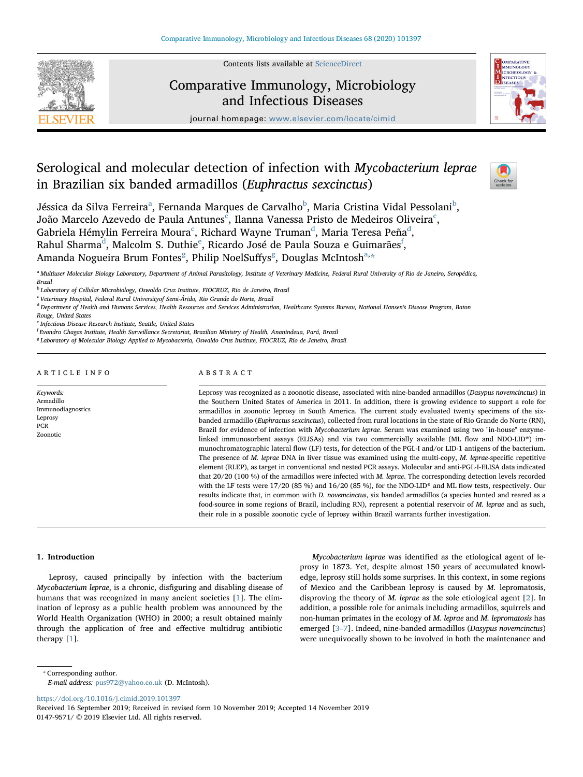

Contents lists available at [ScienceDirect](http://www.sciencedirect.com/science/journal/01479571)

# Comparative Immunology, Microbiology and Infectious Diseases



journal homepage: [www.elsevier.com/locate/cimid](https://www.elsevier.com/locate/cimid)

# Serological and molecular detection of infection with Mycobacterium leprae in Brazilian six banded armadillos (Euphractus sexcinctus)



Jéssic[a](#page-0-0) da Silva Ferreira<sup>a</sup>, Fernanda Marques de Carvalho<sup>[b](#page-0-1)</sup>, Maria Cristina Vidal Pessolani<sup>b</sup>, João Mar[c](#page-0-2)elo Azevedo de Paula Antunes $^{\overline{\text{c}}}$ , Ilanna Vanessa Pristo de Medeiros Oliveira $^{\text{c}}$ , Gabriela Hémylin Ferreira Moura $^{\rm c}$  $^{\rm c}$  $^{\rm c}$ , Richar[d](#page-0-3) Wayne Truman $^{\rm d}$ , Maria Teresa Peña $^{\rm d}$ , Rahul Sharma<sup>[d](#page-0-3)</sup>, Malcolm S. Duthi[e](#page-0-4)<sup>e</sup>, Ricardo José de Paula Souza e Guimarães<sup>[f](#page-0-5)</sup>, Amanda No[g](#page-0-6)ueir[a](#page-0-0) Brum Fontes $^{\rm g}$ , Philip NoelSuffys $^{\rm g}$ , Douglas McIntosh $^{\rm a, \star}$ 

<span id="page-0-0"></span>a Multiuser Molecular Biology Laboratory, Department of Animal Parasitology, Institute of Veterinary Medicine, Federal Rural University of Rio de Janeiro, Seropédica, Brazil

<span id="page-0-1"></span><sup>b</sup> Laboratory of Cellular Microbiology, Oswaldo Cruz Institute, FIOCRUZ, Rio de Janeiro, Brazil

<span id="page-0-2"></span> $c$  Veterinary Hospital, Federal Rural Universityof Semi-Árido, Rio Grande do Norte, Brazil

<span id="page-0-3"></span><sup>d</sup> Department of Health and Humans Services, Health Resources and Services Administration, Healthcare Systems Bureau, National Hansen's Disease Program, Baton Rouge, United States

<span id="page-0-4"></span><sup>e</sup> Infectious Disease Research Institute, Seattle, United States

<span id="page-0-5"></span>f Evandro Chagas Institute, Health Surveillance Secretariat, Brazilian Ministry of Health, Ananindeua, Pará, Brazil

<span id="page-0-6"></span><sup>g</sup> Laboratory of Molecular Biology Applied to Mycobacteria, Oswaldo Cruz Institute, FIOCRUZ, Rio de Janeiro, Brazil

# ARTICLE INFO

Keywords: Armadillo Immunodiagnostics **Leprosy** PCR Zoonotic

# ABSTRACT

Leprosy was recognized as a zoonotic disease, associated with nine-banded armadillos (Dasypus novemcinctus) in the Southern United States of America in 2011. In addition, there is growing evidence to support a role for armadillos in zoonotic leprosy in South America. The current study evaluated twenty specimens of the sixbanded armadillo (Euphractus sexcinctus), collected from rural locations in the state of Rio Grande do Norte (RN), Brazil for evidence of infection with Mycobacterium leprae. Serum was examined using two "in-house" enzymelinked immunosorbent assays (ELISAs) and via two commercially available (ML flow and NDO-LID®) immunochromatographic lateral flow (LF) tests, for detection of the PGL-I and/or LID-1 antigens of the bacterium. The presence of M. leprae DNA in liver tissue was examined using the multi-copy, M. leprae-specific repetitive element (RLEP), as target in conventional and nested PCR assays. Molecular and anti-PGL-I-ELISA data indicated that 20/20 (100 %) of the armadillos were infected with M. leprae. The corresponding detection levels recorded with the LF tests were 17/20 (85 %) and 16/20 (85 %), for the NDO-LID® and ML flow tests, respectively. Our results indicate that, in common with D. novemcinctus, six banded armadillos (a species hunted and reared as a food-source in some regions of Brazil, including RN), represent a potential reservoir of M. leprae and as such, their role in a possible zoonotic cycle of leprosy within Brazil warrants further investigation.

## 1. Introduction

Leprosy, caused principally by infection with the bacterium Mycobacterium leprae, is a chronic, disfiguring and disabling disease of humans that was recognized in many ancient societies [\[1\]](#page-6-0). The elimination of leprosy as a public health problem was announced by the World Health Organization (WHO) in 2000; a result obtained mainly through the application of free and effective multidrug antibiotic therapy [[1](#page-6-0)].

Mycobacterium leprae was identified as the etiological agent of leprosy in 1873. Yet, despite almost 150 years of accumulated knowledge, leprosy still holds some surprises. In this context, in some regions of Mexico and the Caribbean leprosy is caused by M. lepromatosis, disproving the theory of M. leprae as the sole etiological agent [[2](#page-6-1)]. In addition, a possible role for animals including armadillos, squirrels and non-human primates in the ecology of M. leprae and M. lepromatosis has emerged [3–[7\]](#page-6-2). Indeed, nine-banded armadillos (Dasypus novemcinctus) were unequivocally shown to be involved in both the maintenance and

<https://doi.org/10.1016/j.cimid.2019.101397>

<span id="page-0-7"></span><sup>⁎</sup> Corresponding author.

E-mail address: [pus972@yahoo.co.uk](mailto:pus972@yahoo.co.uk) (D. McIntosh).

Received 16 September 2019; Received in revised form 10 November 2019; Accepted 14 November 2019 0147-9571/ © 2019 Elsevier Ltd. All rights reserved.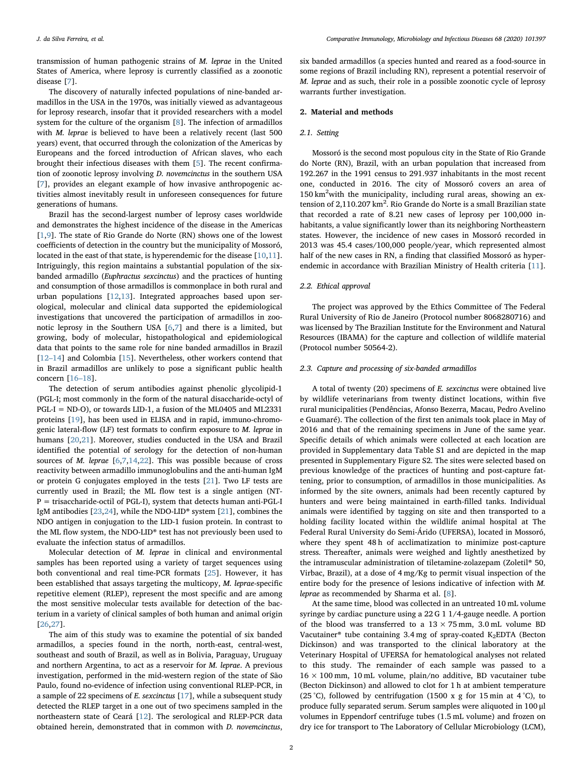transmission of human pathogenic strains of M. leprae in the United States of America, where leprosy is currently classified as a zoonotic disease [[7](#page-6-3)].

The discovery of naturally infected populations of nine-banded armadillos in the USA in the 1970s, was initially viewed as advantageous for leprosy research, insofar that it provided researchers with a model system for the culture of the organism [[8](#page-6-4)]. The infection of armadillos with M. leprae is believed to have been a relatively recent (last 500 years) event, that occurred through the colonization of the Americas by Europeans and the forced introduction of African slaves, who each brought their infectious diseases with them [\[5\]](#page-6-5). The recent confirmation of zoonotic leprosy involving D. novemcinctus in the southern USA [[7](#page-6-3)], provides an elegant example of how invasive anthropogenic activities almost inevitably result in unforeseen consequences for future generations of humans.

Brazil has the second-largest number of leprosy cases worldwide and demonstrates the highest incidence of the disease in the Americas [[1](#page-6-0),[9](#page-6-6)]. The state of Rio Grande do Norte (RN) shows one of the lowest coefficients of detection in the country but the municipality of Mossoró, located in the east of that state, is hyperendemic for the disease [[10,](#page-6-7)[11](#page-6-8)]. Intriguingly, this region maintains a substantial population of the sixbanded armadillo (Euphractus sexcinctus) and the practices of hunting and consumption of those armadillos is commonplace in both rural and urban populations [\[12](#page-6-9),[13\]](#page-6-10). Integrated approaches based upon serological, molecular and clinical data supported the epidemiological investigations that uncovered the participation of armadillos in zoonotic leprosy in the Southern USA [[6](#page-6-11),[7](#page-6-3)] and there is a limited, but growing, body of molecular, histopathological and epidemiological data that points to the same role for nine banded armadillos in Brazil [12–[14\]](#page-6-9) and Colombia [[15\]](#page-6-12). Nevertheless, other workers contend that in Brazil armadillos are unlikely to pose a significant public health concern [\[16](#page-6-13)–18].

The detection of serum antibodies against phenolic glycolipid-1 (PGL-I; most commonly in the form of the natural disaccharide-octyl of PGL-I = ND-O), or towards LID-1, a fusion of the ML0405 and ML2331 proteins [[19\]](#page-6-14), has been used in ELISA and in rapid, immuno-chromogenic lateral-flow (LF) test formats to confirm exposure to M. leprae in humans [[20](#page-6-15)[,21](#page-6-16)]. Moreover, studies conducted in the USA and Brazil identified the potential of serology for the detection of non-human sources of *M. leprae*  $[6,7,14,22]$  $[6,7,14,22]$  $[6,7,14,22]$  $[6,7,14,22]$  $[6,7,14,22]$  $[6,7,14,22]$ . This was possible because of cross reactivity between armadillo immunoglobulins and the anti-human IgM or protein G conjugates employed in the tests [[21\]](#page-6-16). Two LF tests are currently used in Brazil; the ML flow test is a single antigen (NT-P = trisaccharide-octil of PGL-I), system that detects human anti-PGL-I IgM antibodies [\[23](#page-6-19),[24\]](#page-6-20), while the NDO-LID® system [[21](#page-6-16)], combines the NDO antigen in conjugation to the LID-1 fusion protein. In contrast to the ML flow system, the NDO-LID® test has not previously been used to evaluate the infection status of armadillos.

Molecular detection of M. leprae in clinical and environmental samples has been reported using a variety of target sequences using both conventional and real time-PCR formats [[25\]](#page-6-21). However, it has been established that assays targeting the multicopy, M. leprae-specific repetitive element (RLEP), represent the most specific and are among the most sensitive molecular tests available for detection of the bacterium in a variety of clinical samples of both human and animal origin [[26](#page-6-22)[,27](#page-6-23)].

The aim of this study was to examine the potential of six banded armadillos, a species found in the north, north-east, central-west, southeast and south of Brazil, as well as in Bolivia, Paraguay, Uruguay and northern Argentina, to act as a reservoir for M. leprae. A previous investigation, performed in the mid-western region of the state of São Paulo, found no-evidence of infection using conventional RLEP-PCR, in a sample of 22 specimens of E. sexcinctus [\[17](#page-6-24)], while a subsequent study detected the RLEP target in a one out of two specimens sampled in the northeastern state of Ceará [\[12](#page-6-9)]. The serological and RLEP-PCR data obtained herein, demonstrated that in common with D. novemcinctus,

six banded armadillos (a species hunted and reared as a food-source in some regions of Brazil including RN), represent a potential reservoir of M. leprae and as such, their role in a possible zoonotic cycle of leprosy warrants further investigation.

#### 2. Material and methods

#### 2.1. Setting

Mossoró is the second most populous city in the State of Rio Grande do Norte (RN), Brazil, with an urban population that increased from 192.267 in the 1991 census to 291.937 inhabitants in the most recent one, conducted in 2016. The city of Mossoró covers an area of 150 km<sup>2</sup> with the municipality, including rural areas, showing an extension of 2,110.207 km<sup>2</sup>. Rio Grande do Norte is a small Brazilian state that recorded a rate of 8.21 new cases of leprosy per 100,000 inhabitants, a value significantly lower than its neighboring Northeastern states. However, the incidence of new cases in Mossoró recorded in 2013 was 45.4 cases/100,000 people/year, which represented almost half of the new cases in RN, a finding that classified Mossoró as hyperendemic in accordance with Brazilian Ministry of Health criteria [\[11](#page-6-8)].

## 2.2. Ethical approval

The project was approved by the Ethics Committee of The Federal Rural University of Rio de Janeiro (Protocol number 8068280716) and was licensed by The Brazilian Institute for the Environment and Natural Resources (IBAMA) for the capture and collection of wildlife material (Protocol number 50564-2).

## 2.3. Capture and processing of six-banded armadillos

A total of twenty (20) specimens of E. sexcinctus were obtained live by wildlife veterinarians from twenty distinct locations, within five rural municipalities (Pendências, Afonso Bezerra, Macau, Pedro Avelino e Guamaré). The collection of the first ten animals took place in May of 2016 and that of the remaining specimens in June of the same year. Specific details of which animals were collected at each location are provided in Supplementary data Table S1 and are depicted in the map presented in Supplementary Figure S2. The sites were selected based on previous knowledge of the practices of hunting and post-capture fattening, prior to consumption, of armadillos in those municipalities. As informed by the site owners, animals had been recently captured by hunters and were being maintained in earth-filled tanks. Individual animals were identified by tagging on site and then transported to a holding facility located within the wildlife animal hospital at The Federal Rural University do Semi-Árido (UFERSA), located in Mossoró, where they spent 48 h of acclimatization to minimize post-capture stress. Thereafter, animals were weighed and lightly anesthetized by the intramuscular administration of tiletamine-zolazepam (Zoletil® 50, Virbac, Brazil), at a dose of 4 mg/Kg to permit visual inspection of the entire body for the presence of lesions indicative of infection with M. leprae as recommended by Sharma et al. [\[8\]](#page-6-4).

At the same time, blood was collected in an untreated 10 mL volume syringe by cardiac puncture using a 22 G 1 1/4-gauge needle. A portion of the blood was transferred to a  $13 \times 75$  mm,  $3.0$  mL volume BD Vacutainer® tube containing 3.4 mg of spray-coated K<sub>2</sub>EDTA (Becton Dickinson) and was transported to the clinical laboratory at the Veterinary Hospital of UFERSA for hematological analyses not related to this study. The remainder of each sample was passed to a  $16 \times 100$  mm, 10 mL volume, plain/no additive, BD vacutainer tube (Becton Dickinson) and allowed to clot for 1 h at ambient temperature (25 °C), followed by centrifugation (1500 x g for 15 min at 4 °C), to produce fully separated serum. Serum samples were aliquoted in 100 μl volumes in Eppendorf centrifuge tubes (1.5 mL volume) and frozen on dry ice for transport to The Laboratory of Cellular Microbiology (LCM),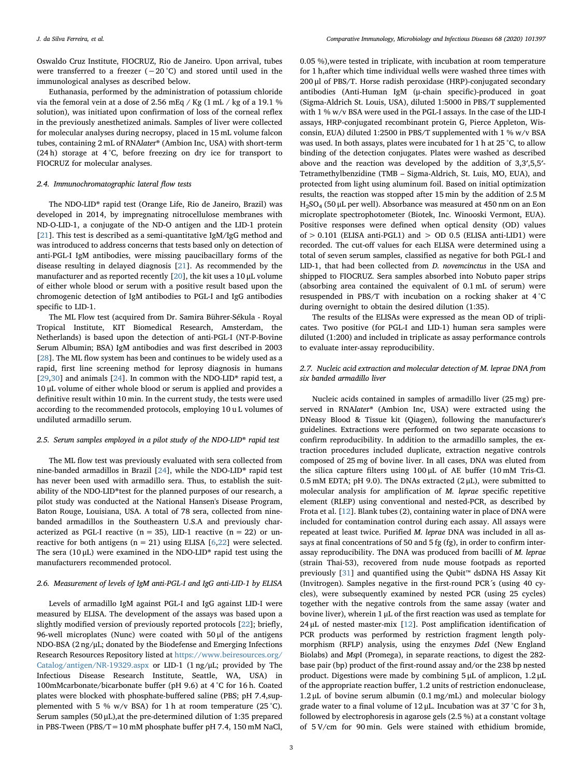Oswaldo Cruz Institute, FIOCRUZ, Rio de Janeiro. Upon arrival, tubes were transferred to a freezer ( $-20$ °C) and stored until used in the immunological analyses as described below.

Euthanasia, performed by the administration of potassium chloride via the femoral vein at a dose of 2.56 mEq / Kg (1 mL / kg of a 19.1 % solution), was initiated upon confirmation of loss of the corneal reflex in the previously anesthetized animals. Samples of liver were collected for molecular analyses during necropsy, placed in 15 mL volume falcon tubes, containing 2 mL of RNAlater® (Ambion Inc, USA) with short-term (24 h) storage at 4 °C, before freezing on dry ice for transport to FIOCRUZ for molecular analyses.

## 2.4. Immunochromatographic lateral flow tests

The NDO-LID® rapid test (Orange Life, Rio de Janeiro, Brazil) was developed in 2014, by impregnating nitrocellulose membranes with ND-O-LID-1, a conjugate of the ND-O antigen and the LID-1 protein [[21\]](#page-6-16). This test is described as a semi-quantitative IgM/IgG method and was introduced to address concerns that tests based only on detection of anti-PGL-I IgM antibodies, were missing paucibacillary forms of the disease resulting in delayed diagnosis [[21\]](#page-6-16). As recommended by the manufacturer and as reported recently  $[20]$  $[20]$ , the kit uses a 10  $\mu$ L volume of either whole blood or serum with a positive result based upon the chromogenic detection of IgM antibodies to PGL-I and IgG antibodies specific to LID-1.

The ML Flow test (acquired from Dr. Samira Bührer-Sékula - Royal Tropical Institute, KIT Biomedical Research, Amsterdam, the Netherlands) is based upon the detection of anti-PGL-I (NT-P-Bovine Serum Albumin; BSA) IgM antibodies and was first described in 2003 [[28\]](#page-6-25). The ML flow system has been and continues to be widely used as a rapid, first line screening method for leprosy diagnosis in humans [[29](#page-6-26)[,30](#page-6-27)] and animals [[24\]](#page-6-20). In common with the NDO-LID<sup>®</sup> rapid test, a 10 μL volume of either whole blood or serum is applied and provides a definitive result within 10 min. In the current study, the tests were used according to the recommended protocols, employing 10 u L volumes of undiluted armadillo serum.

## 2.5. Serum samples employed in a pilot study of the NDO-LID® rapid test

The ML flow test was previously evaluated with sera collected from nine-banded armadillos in Brazil [\[24](#page-6-20)], while the NDO-LID® rapid test has never been used with armadillo sera. Thus, to establish the suitability of the NDO-LID®test for the planned purposes of our research, a pilot study was conducted at the National Hansen's Disease Program, Baton Rouge, Louisiana, USA. A total of 78 sera, collected from ninebanded armadillos in the Southeastern U.S.A and previously characterized as PGL-I reactive ( $n = 35$ ), LID-1 reactive ( $n = 22$ ) or unreactive for both antigens ( $n = 21$ ) using ELISA [\[6,](#page-6-11)[22\]](#page-6-18) were selected. The sera (10  $\mu$ L) were examined in the NDO-LID® rapid test using the manufacturers recommended protocol.

# 2.6. Measurement of levels of IgM anti-PGL-I and IgG anti-LID-1 by ELISA

Levels of armadillo IgM against PGL-I and IgG against LID-I were measured by ELISA. The development of the assays was based upon a slightly modified version of previously reported protocols [[22](#page-6-18)]; briefly, 96-well microplates (Nunc) were coated with 50 μl of the antigens NDO-BSA (2 ng/μL; donated by the Biodefense and Emerging Infections Research Resources Repository listed at [https://www.beiresources.org/](https://www.beiresources.org/Catalog/antigen/NR-19329.aspx) [Catalog/antigen/NR-19329.aspx](https://www.beiresources.org/Catalog/antigen/NR-19329.aspx) or LID-1 (1 ng/μL; provided by The Infectious Disease Research Institute, Seattle, WA, USA) in 100mMcarbonate/bicarbonate buffer (pH 9.6) at 4 °C for 16 h. Coated plates were blocked with phosphate-buffered saline (PBS; pH 7.4,supplemented with 5 % w/v BSA) for 1 h at room temperature (25 °C). Serum samples (50 μL),at the pre-determined dilution of 1:35 prepared in PBS-Tween (PBS/T=10 mM phosphate buffer pH 7.4, 150 mM NaCl,

0.05 %),were tested in triplicate, with incubation at room temperature for 1 h,after which time individual wells were washed three times with 200 μl of PBS/T. Horse radish peroxidase (HRP)-conjugated secondary antibodies (Anti-Human IgM (μ-chain specific)-produced in goat (Sigma-Aldrich St. Louis, USA), diluted 1:5000 in PBS/T supplemented with 1 % w/v BSA were used in the PGL-I assays. In the case of the LID-I assays, HRP-conjugated recombinant protein G, Pierce Appleton, Wisconsin, EUA) diluted 1:2500 in PBS/T supplemented with 1 % w/v BSA was used. In both assays, plates were incubated for 1 h at 25 °C, to allow binding of the detection conjugates. Plates were washed as described above and the reaction was developed by the addition of 3,3′,5,5′- Tetramethylbenzidine (TMB – Sigma-Aldrich, St. Luis, MO, EUA), and protected from light using aluminum foil. Based on initial optimization results, the reaction was stopped after 15 min by the addition of 2.5 M H2SO4 (50 μL per well). Absorbance was measured at 450 nm on an Eon microplate spectrophotometer (Biotek, Inc. Winooski Vermont, EUA). Positive responses were defined when optical density (OD) values of  $> 0.101$  (ELISA anti-PGL1) and  $>$  OD 0.5 (ELISA anti-LID1) were recorded. The cut-off values for each ELISA were determined using a total of seven serum samples, classified as negative for both PGL-I and LID-1, that had been collected from D. novemcinctus in the USA and shipped to FIOCRUZ. Sera samples absorbed into Nobuto paper strips (absorbing area contained the equivalent of 0.1 mL of serum) were resuspended in PBS/T with incubation on a rocking shaker at 4 °C during overnight to obtain the desired dilution (1:35).

The results of the ELISAs were expressed as the mean OD of triplicates. Two positive (for PGL-I and LID-1) human sera samples were diluted (1:200) and included in triplicate as assay performance controls to evaluate inter-assay reproducibility.

# 2.7. Nucleic acid extraction and molecular detection of M. leprae DNA from six banded armadillo liver

Nucleic acids contained in samples of armadillo liver (25 mg) preserved in RNAlater® (Ambion Inc, USA) were extracted using the DNeasy Blood & Tissue kit (Qiagen), following the manufacturer's guidelines. Extractions were performed on two separate occasions to confirm reproducibility. In addition to the armadillo samples, the extraction procedures included duplicate, extraction negative controls composed of 25 mg of bovine liver. In all cases, DNA was eluted from the silica capture filters using 100 μL of AE buffer (10 mM Tris-Cl.  $0.5$  mM EDTA; pH 9.0). The DNAs extracted  $(2 \mu L)$ , were submitted to molecular analysis for amplification of M. leprae specific repetitive element (RLEP) using conventional and nested-PCR, as described by Frota et al. [\[12](#page-6-9)]. Blank tubes (2), containing water in place of DNA were included for contamination control during each assay. All assays were repeated at least twice. Purified M. leprae DNA was included in all assays at final concentrations of 50 and 5 fg (fg), in order to confirm interassay reproducibility. The DNA was produced from bacilli of M. leprae (strain Thai-53), recovered from nude mouse footpads as reported previously [[31\]](#page-6-28) and quantified using the Qubit™ dsDNA HS Assay Kit (Invitrogen). Samples negative in the first-round PCR´s (using 40 cycles), were subsequently examined by nested PCR (using 25 cycles) together with the negative controls from the same assay (water and bovine liver), wherein 1 μL of the first reaction was used as template for 24 μL of nested master-mix  $[12]$  $[12]$ . Post amplification identification of PCR products was performed by restriction fragment length polymorphism (RFLP) analysis, using the enzymes DdeI (New England Biolabs) and MspI (Promega), in separate reactions, to digest the 282 base pair (bp) product of the first-round assay and/or the 238 bp nested product. Digestions were made by combining 5 μL of amplicon, 1.2 μL of the appropriate reaction buffer, 1.2 units of restriction endonuclease, 1.2 μL of bovine serum albumin (0.1 mg/mL) and molecular biology grade water to a final volume of 12 μL. Incubation was at 37 °C for 3 h, followed by electrophoresis in agarose gels (2.5 %) at a constant voltage of 5 V/cm for 90 min. Gels were stained with ethidium bromide,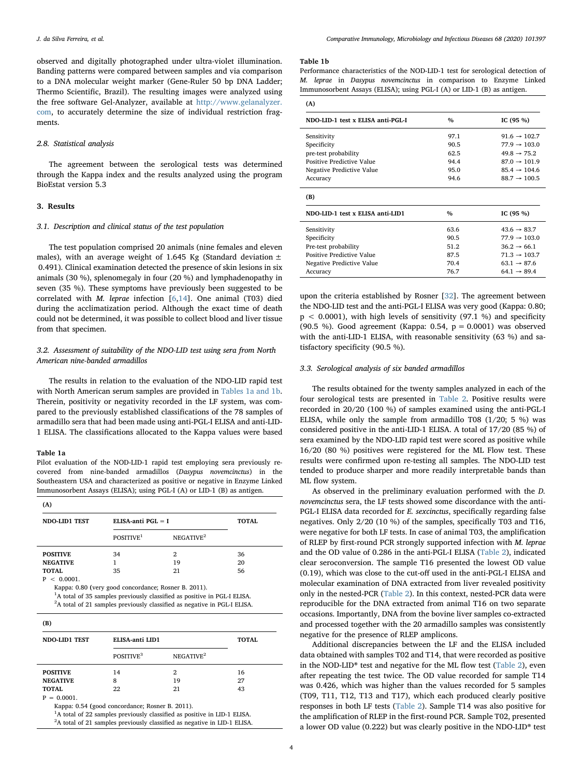observed and digitally photographed under ultra-violet illumination. Banding patterns were compared between samples and via comparison to a DNA molecular weight marker (Gene-Ruler 50 bp DNA Ladder; Thermo Scientific, Brazil). The resulting images were analyzed using the free software Gel-Analyzer, available at [http://www.gelanalyzer.](http://www.gelanalyzer.com) [com](http://www.gelanalyzer.com), to accurately determine the size of individual restriction fragments.

### 2.8. Statistical analysis

The agreement between the serological tests was determined through the Kappa index and the results analyzed using the program BioEstat version 5.3

#### 3. Results

#### 3.1. Description and clinical status of the test population

The test population comprised 20 animals (nine females and eleven males), with an average weight of 1.645 Kg (Standard deviation  $\pm$ 0.491). Clinical examination detected the presence of skin lesions in six animals (30 %), splenomegaly in four (20 %) and lymphadenopathy in seven (35 %). These symptoms have previously been suggested to be correlated with M. leprae infection [[6](#page-6-11)[,14](#page-6-17)]. One animal (T03) died during the acclimatization period. Although the exact time of death could not be determined, it was possible to collect blood and liver tissue from that specimen.

# 3.2. Assessment of suitability of the NDO-LID test using sera from North American nine-banded armadillos

The results in relation to the evaluation of the NDO-LID rapid test with North American serum samples are provided in [Tables 1a and 1b](#page-3-0). Therein, positivity or negativity recorded in the LF system, was compared to the previously established classifications of the 78 samples of armadillo sera that had been made using anti-PGL-I ELISA and anti-LID-1 ELISA. The classifications allocated to the Kappa values were based

### <span id="page-3-0"></span>Table 1a

Pilot evaluation of the NOD-LID-1 rapid test employing sera previously recovered from nine-banded armadillos (Dasypus novemcinctus) in the Southeastern USA and characterized as positive or negative in Enzyme Linked Immunosorbent Assays (ELISA); using PGL-I (A) or LID-1 (B) as antigen.

| (A)                  |                       |                          |    |  |  |  |
|----------------------|-----------------------|--------------------------|----|--|--|--|
| <b>NDO-LID1 TEST</b> | ELISA-anti PGL $=$ I  | <b>TOTAL</b>             |    |  |  |  |
|                      | POSITIVE <sup>1</sup> | NEGATIVE <sup>2</sup>    |    |  |  |  |
| <b>POSITIVE</b>      | 34                    | $\mathfrak{D}_{1}^{(1)}$ | 36 |  |  |  |
| <b>NEGATIVE</b>      |                       | 19                       | 20 |  |  |  |
| <b>TOTAL</b><br>.    | 35                    | 21                       | 56 |  |  |  |

 $~<~0.0001$ Kappa: 0.80 (very good concordance; Rosner B. 2011).

<sup>1</sup>A total of 35 samples previously classified as positive in PGL-I ELISA. <sup>2</sup>A total of 21 samples previously classified as negative in PGL-I ELISA.

| (B)             |                       |                       |    |  |  |
|-----------------|-----------------------|-----------------------|----|--|--|
| NDO-LID1 TEST   | ELISA-anti LID1       | <b>TOTAL</b>          |    |  |  |
|                 | POSITIVE <sup>3</sup> | NEGATIVE <sup>2</sup> |    |  |  |
| <b>POSITIVE</b> | 14                    | 2                     | 16 |  |  |
| <b>NEGATIVE</b> | 8                     | 19                    | 27 |  |  |
| <b>TOTAL</b>    | 22                    | 21                    | 43 |  |  |
| $P = 0.0001.$   |                       |                       |    |  |  |

Kappa: 0.54 (good concordance; Rosner B. 2011).

<sup>1</sup>A total of 22 samples previously classified as positive in LID-1 ELISA.

<sup>2</sup>A total of 21 samples previously classified as negative in LID-1 ELISA.

#### Table 1b

Performance characteristics of the NOD-LID-1 test for serological detection of M. leprae in Dasypus novemcinctus in comparison to Enzyme Linked Immunosorbent Assays (ELISA); using PGL-I (A) or LID-1 (B) as antigen.

| NDO LID-1 test x ELISA anti-PGL-I | $\%$                             | IC $(95\% )$             |  |
|-----------------------------------|----------------------------------|--------------------------|--|
| Sensitivity                       | 97.1                             | $91.6 \rightarrow 102.7$ |  |
| Specificity                       | 90.5                             | $77.9 \rightarrow 103.0$ |  |
| pre-test probability              | 62.5                             | $49.8 \rightarrow 75.2$  |  |
| Positive Predictive Value         | 94.4                             | $87.0 \rightarrow 101.9$ |  |
| Negative Predictive Value         | 95.0<br>$85.4 \rightarrow 104.6$ |                          |  |
| Accuracy                          | 94.6<br>$88.7 \rightarrow 100.5$ |                          |  |
|                                   |                                  |                          |  |
| (B)                               |                                  |                          |  |
| NDO-LID-1 test x ELISA anti-LID1  | $\%$                             | IC $(95\% )$             |  |
| Sensitivity                       | 63.6                             | $43.6 \rightarrow 83.7$  |  |
| Specificity                       | 90.5                             | $77.9 \rightarrow 103.0$ |  |
| Pre-test probability              | 51.2                             | $36.2 \rightarrow 66.1$  |  |
| Positive Predictive Value         | 87.5                             | $71.3 \rightarrow 103.7$ |  |
| Negative Predictive Value         | 70.4                             | $63.1 \rightarrow 87.6$  |  |

upon the criteria established by Rosner [\[32](#page-6-29)]. The agreement between the NDO-LID test and the anti-PGL-I ELISA was very good (Kappa: 0.80;  $p < 0.0001$ , with high levels of sensitivity (97.1 %) and specificity (90.5 %). Good agreement (Kappa: 0.54, p = 0.0001) was observed with the anti-LID-1 ELISA, with reasonable sensitivity (63 %) and satisfactory specificity (90.5 %).

## 3.3. Serological analysis of six banded armadillos

The results obtained for the twenty samples analyzed in each of the four serological tests are presented in [Table 2.](#page-4-0) Positive results were recorded in 20/20 (100 %) of samples examined using the anti-PGL-I ELISA, while only the sample from armadillo T08 (1/20; 5 %) was considered positive in the anti-LID-1 ELISA. A total of 17/20 (85 %) of sera examined by the NDO-LID rapid test were scored as positive while 16/20 (80 %) positives were registered for the ML Flow test. These results were confirmed upon re-testing all samples. The NDO-LID test tended to produce sharper and more readily interpretable bands than ML flow system.

As observed in the preliminary evaluation performed with the D. novemcinctus sera, the LF tests showed some discordance with the anti-PGL-I ELISA data recorded for E. sexcinctus, specifically regarding false negatives. Only 2/20 (10 %) of the samples, specifically T03 and T16, were negative for both LF tests. In case of animal T03, the amplification of RLEP by first-round PCR strongly supported infection with M. leprae and the OD value of 0.286 in the anti-PGL-I ELISA ([Table 2](#page-4-0)), indicated clear seroconversion. The sample T16 presented the lowest OD value (0.19), which was close to the cut-off used in the anti-PGL-I ELISA and molecular examination of DNA extracted from liver revealed positivity only in the nested-PCR [\(Table 2](#page-4-0)). In this context, nested-PCR data were reproducible for the DNA extracted from animal T16 on two separate occasions. Importantly, DNA from the bovine liver samples co-extracted and processed together with the 20 armadillo samples was consistently negative for the presence of RLEP amplicons.

Additional discrepancies between the LF and the ELISA included data obtained with samples T02 and T14, that were recorded as positive in the NOD-LID® test and negative for the ML flow test ([Table 2](#page-4-0)), even after repeating the test twice. The OD value recorded for sample T14 was 0.426, which was higher than the values recorded for 5 samples (T09, T11, T12, T13 and T17), which each produced clearly positive responses in both LF tests [\(Table 2](#page-4-0)). Sample T14 was also positive for the amplification of RLEP in the first-round PCR. Sample T02, presented a lower OD value (0.222) but was clearly positive in the NDO-LID® test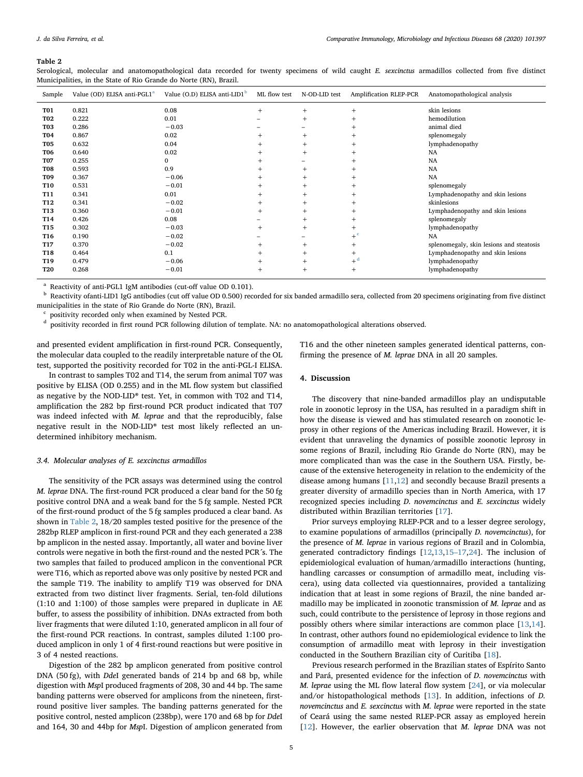#### <span id="page-4-0"></span>Table 2

Serological, molecular and anatomopathological data recorded for twenty specimens of wild caught E. sexcinctus armadillos collected from five distinct Municipalities, in the State of Rio Grande do Norte (RN), Brazil.

| Sample          | Value (OD) ELISA anti-PGL1 <sup>a</sup> | Value (O.D) ELISA anti-LID1 <sup>b</sup> | ML flow test | N-OD-LID test            | Amplification RLEP-PCR | Anatomopathological analysis             |
|-----------------|-----------------------------------------|------------------------------------------|--------------|--------------------------|------------------------|------------------------------------------|
| <b>T01</b>      | 0.821                                   | 0.08                                     | $+$          | $+$                      | $^{+}$                 | skin lesions                             |
| <b>T02</b>      | 0.222                                   | 0.01                                     |              | $+$                      | $^{+}$                 | hemodilution                             |
| <b>T03</b>      | 0.286                                   | $-0.03$                                  |              |                          | $^{+}$                 | animal died                              |
| <b>T04</b>      | 0.867                                   | 0.02                                     | $+$          | $+$                      | $^{+}$                 | splenomegaly                             |
| <b>T05</b>      | 0.632                                   | 0.04                                     | $^{+}$       | $+$                      | $^{+}$                 | lymphadenopathy                          |
| <b>T06</b>      | 0.640                                   | 0.02                                     | $^+$         | $+$                      | $^{+}$                 | NA                                       |
| <b>T07</b>      | 0.255                                   | $\Omega$                                 | $\pm$        | -                        | $^{+}$                 | <b>NA</b>                                |
| <b>T08</b>      | 0.593                                   | 0.9                                      | $\pm$        | $+$                      | $^{+}$                 | <b>NA</b>                                |
| <b>T09</b>      | 0.367                                   | $-0.06$                                  | $^{+}$       | $+$                      | $^{+}$                 | <b>NA</b>                                |
| <b>T10</b>      | 0.531                                   | $-0.01$                                  | $^{+}$       | $+$                      | $^{+}$                 | splenomegaly                             |
| T11             | 0.341                                   | 0.01                                     | $^{+}$       | $+$                      | $^{+}$                 | Lymphadenopathy and skin lesions         |
| <b>T12</b>      | 0.341                                   | $-0.02$                                  | $^{+}$       | $+$                      | $^{+}$                 | skinlesions                              |
| <b>T13</b>      | 0.360                                   | $-0.01$                                  | $^{+}$       | $+$                      | $^{+}$                 | Lymphadenopathy and skin lesions         |
| T14             | 0.426                                   | 0.08                                     |              | $+$                      | $^{+}$                 | splenomegaly                             |
| T <sub>15</sub> | 0.302                                   | $-0.03$                                  | $+$          | $+$                      | $^{+}$                 | lymphadenopathy                          |
| T16             | 0.190                                   | $-0.02$                                  |              | $\overline{\phantom{0}}$ | $+$ <sup>c</sup>       | <b>NA</b>                                |
| T17             | 0.370                                   | $-0.02$                                  | $^{+}$       | $+$                      | $^{+}$                 | splenomegaly, skin lesions and steatosis |
| <b>T18</b>      | 0.464                                   | 0.1                                      | $^{+}$       | $+$                      | $^{+}$                 | Lymphadenopathy and skin lesions         |
| T19             | 0.479                                   | $-0.06$                                  | $^{+}$       | $+$                      | $+$ <sup>d</sup>       | lymphadenopathy                          |
| <b>T20</b>      | 0.268                                   | $-0.01$                                  | $^{+}$       | $+$                      | $^{+}$                 | lymphadenopathy                          |

<span id="page-4-1"></span>Reactivity of anti-PGL1 IgM antibodies (cut-off value OD 0.101).

<span id="page-4-2"></span><sup>b</sup> Reactivity ofanti-LID1 IgG antibodies (cut off value OD 0.500) recorded for six banded armadillo sera, collected from 20 specimens originating from five distinct municipalities in the state of Rio Grande do Norte (RN), Brazil.

<span id="page-4-4"></span><span id="page-4-3"></span> $\frac{c}{d}$  positivity recorded only when examined by Nested PCR.<br> $\frac{d}{d}$  positivity recorded in first round PCP following dilution

positivity recorded in first round PCR following dilution of template. NA: no anatomopathological alterations observed.

and presented evident amplification in first-round PCR. Consequently, the molecular data coupled to the readily interpretable nature of the OL test, supported the positivity recorded for T02 in the anti-PGL-I ELISA.

In contrast to samples T02 and T14, the serum from animal T07 was positive by ELISA (OD 0.255) and in the ML flow system but classified as negative by the NOD-LID® test. Yet, in common with T02 and T14, amplification the 282 bp first-round PCR product indicated that T07 was indeed infected with M. leprae and that the reproducibly, false negative result in the NOD-LID® test most likely reflected an undetermined inhibitory mechanism.

#### 3.4. Molecular analyses of E. sexcinctus armadillos

The sensitivity of the PCR assays was determined using the control M. leprae DNA. The first-round PCR produced a clear band for the 50 fg positive control DNA and a weak band for the 5 fg sample. Nested PCR of the first-round product of the 5 fg samples produced a clear band. As shown in [Table 2](#page-4-0), 18/20 samples tested positive for the presence of the 282bp RLEP amplicon in first-round PCR and they each generated a 238 bp amplicon in the nested assay. Importantly, all water and bovine liver controls were negative in both the first-round and the nested PCR´s. The two samples that failed to produced amplicon in the conventional PCR were T16, which as reported above was only positive by nested PCR and the sample T19. The inability to amplify T19 was observed for DNA extracted from two distinct liver fragments. Serial, ten-fold dilutions (1:10 and 1:100) of those samples were prepared in duplicate in AE buffer, to assess the possibility of inhibition. DNAs extracted from both liver fragments that were diluted 1:10, generated amplicon in all four of the first-round PCR reactions. In contrast, samples diluted 1:100 produced amplicon in only 1 of 4 first-round reactions but were positive in 3 of 4 nested reactions.

Digestion of the 282 bp amplicon generated from positive control DNA (50 fg), with DdeI generated bands of 214 bp and 68 bp, while digestion with MspI produced fragments of 208, 30 and 44 bp. The same banding patterns were observed for amplicons from the nineteen, firstround positive liver samples. The banding patterns generated for the positive control, nested amplicon (238bp), were 170 and 68 bp for DdeI and 164, 30 and 44bp for MspI. Digestion of amplicon generated from

T16 and the other nineteen samples generated identical patterns, confirming the presence of M. leprae DNA in all 20 samples.

### 4. Discussion

The discovery that nine-banded armadillos play an undisputable role in zoonotic leprosy in the USA, has resulted in a paradigm shift in how the disease is viewed and has stimulated research on zoonotic leprosy in other regions of the Americas including Brazil. However, it is evident that unraveling the dynamics of possible zoonotic leprosy in some regions of Brazil, including Rio Grande do Norte (RN), may be more complicated than was the case in the Southern USA. Firstly, because of the extensive heterogeneity in relation to the endemicity of the disease among humans [\[11](#page-6-8)[,12](#page-6-9)] and secondly because Brazil presents a greater diversity of armadillo species than in North America, with 17 recognized species including D. novemcinctus and E. sexcinctus widely distributed within Brazilian territories [\[17](#page-6-24)].

Prior surveys employing RLEP-PCR and to a lesser degree serology, to examine populations of armadillos (principally D. novemcinctus), for the presence of M. leprae in various regions of Brazil and in Colombia, generated contradictory findings [\[12](#page-6-9),[13,](#page-6-10)15–[17,](#page-6-12)[24\]](#page-6-20). The inclusion of epidemiological evaluation of human/armadillo interactions (hunting, handling carcasses or consumption of armadillo meat, including viscera), using data collected via questionnaires, provided a tantalizing indication that at least in some regions of Brazil, the nine banded armadillo may be implicated in zoonotic transmission of M. leprae and as such, could contribute to the persistence of leprosy in those regions and possibly others where similar interactions are common place [[13,](#page-6-10)[14](#page-6-17)]. In contrast, other authors found no epidemiological evidence to link the consumption of armadillo meat with leprosy in their investigation conducted in the Southern Brazilian city of Curitiba [[18\]](#page-6-30).

Previous research performed in the Brazilian states of Espírito Santo and Pará, presented evidence for the infection of D. novemcinctus with M. leprae using the ML flow lateral flow system [[24\]](#page-6-20), or via molecular and/or histopathological methods [[13](#page-6-10)]. In addition, infections of D. novemcinctus and E. sexcinctus with M. leprae were reported in the state of Ceará using the same nested RLEP-PCR assay as employed herein [[12\]](#page-6-9). However, the earlier observation that M. leprae DNA was not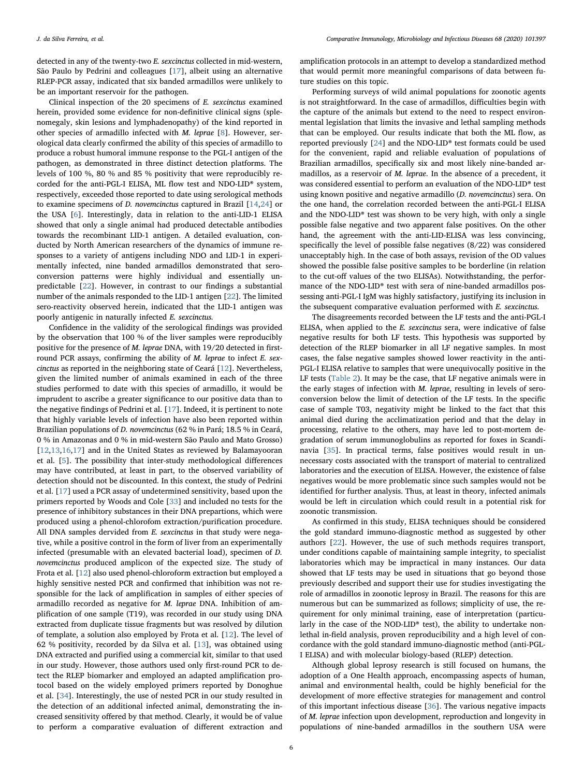detected in any of the twenty-two E. sexcinctus collected in mid-western, São Paulo by Pedrini and colleagues [\[17](#page-6-24)], albeit using an alternative RLEP-PCR assay, indicated that six banded armadillos were unlikely to be an important reservoir for the pathogen.

Clinical inspection of the 20 specimens of E. sexcinctus examined herein, provided some evidence for non-definitive clinical signs (splenomegaly, skin lesions and lymphadenopathy) of the kind reported in other species of armadillo infected with M. leprae [\[8\]](#page-6-4). However, serological data clearly confirmed the ability of this species of armadillo to produce a robust humoral immune response to the PGL-I antigen of the pathogen, as demonstrated in three distinct detection platforms. The levels of 100 %, 80 % and 85 % positivity that were reproducibly recorded for the anti-PGL-I ELISA, ML flow test and NDO-LID® system, respectively, exceeded those reported to date using serological methods to examine specimens of D. novemcinctus captured in Brazil [[14](#page-6-17)[,24](#page-6-20)] or the USA [\[6\]](#page-6-11). Interestingly, data in relation to the anti-LID-1 ELISA showed that only a single animal had produced detectable antibodies towards the recombinant LID-1 antigen. A detailed evaluation, conducted by North American researchers of the dynamics of immune responses to a variety of antigens including NDO and LID-1 in experimentally infected, nine banded armadillos demonstrated that seroconversion patterns were highly individual and essentially unpredictable [\[22](#page-6-18)]. However, in contrast to our findings a substantial number of the animals responded to the LID-1 antigen [[22\]](#page-6-18). The limited sero-reactivity observed herein, indicated that the LID-1 antigen was poorly antigenic in naturally infected E. sexcinctus.

Confidence in the validity of the serological findings was provided by the observation that 100 % of the liver samples were reproducibly positive for the presence of M. leprae DNA, with 19/20 detected in firstround PCR assays, confirming the ability of M. leprae to infect E. sexcinctus as reported in the neighboring state of Ceará [[12\]](#page-6-9). Nevertheless, given the limited number of animals examined in each of the three studies performed to date with this species of armadillo, it would be imprudent to ascribe a greater significance to our positive data than to the negative findings of Pedrini et al. [\[17](#page-6-24)]. Indeed, it is pertinent to note that highly variable levels of infection have also been reported within Brazilian populations of D. novemcinctus (62 % in Pará; 18.5 % in Ceará, 0 % in Amazonas and 0 % in mid-western São Paulo and Mato Grosso) [[12](#page-6-9)[,13](#page-6-10)[,16](#page-6-13),[17\]](#page-6-24) and in the United States as reviewed by Balamayooran et al. [\[5\]](#page-6-5). The possibility that inter-study methodological differences may have contributed, at least in part, to the observed variability of detection should not be discounted. In this context, the study of Pedrini et al. [\[17](#page-6-24)] used a PCR assay of undetermined sensitivity, based upon the primers reported by Woods and Cole [\[33](#page-7-0)] and included no tests for the presence of inhibitory substances in their DNA prepartions, which were produced using a phenol-chlorofom extraction/purification procedure. All DNA samples dervided from E. sexcinctus in that study were negative, while a positive control in the form of liver from an experimentally infected (presumable with an elevated bacterial load), specimen of D. novemcinctus produced amplicon of the expected size. The study of Frota et al. [[12\]](#page-6-9) also used phenol-chloroform extraction but employed a highly sensitive nested PCR and confirmed that inhibition was not responsible for the lack of amplification in samples of either species of armadillo recorded as negative for M. leprae DNA. Inhibition of amplification of one sample (T19), was recorded in our study using DNA extracted from duplicate tissue fragments but was resolved by dilution of template, a solution also employed by Frota et al. [[12\]](#page-6-9). The level of 62 % positivity, recorded by da Silva et al. [\[13](#page-6-10)], was obtained using DNA extracted and purified using a commercial kit, similar to that used in our study. However, those authors used only first-round PCR to detect the RLEP biomarker and employed an adapted amplification protocol based on the widely employed primers reported by Donoghue et al. [[34\]](#page-7-1). Interestingly, the use of nested PCR in our study resulted in the detection of an additional infected animal, demonstrating the increased sensitivity offered by that method. Clearly, it would be of value to perform a comparative evaluation of different extraction and

amplification protocols in an attempt to develop a standardized method that would permit more meaningful comparisons of data between future studies on this topic.

Performing surveys of wild animal populations for zoonotic agents is not straightforward. In the case of armadillos, difficulties begin with the capture of the animals but extend to the need to respect environmental legislation that limits the invasive and lethal sampling methods that can be employed. Our results indicate that both the ML flow, as reported previously [[24\]](#page-6-20) and the NDO-LID® test formats could be used for the convenient, rapid and reliable evaluation of populations of Brazilian armadillos, specifically six and most likely nine-banded armadillos, as a reservoir of M. leprae. In the absence of a precedent, it was considered essential to perform an evaluation of the NDO-LID® test using known positive and negative armadillo (D. novemcinctus) sera. On the one hand, the correlation recorded between the anti-PGL-I ELISA and the NDO-LID® test was shown to be very high, with only a single possible false negative and two apparent false positives. On the other hand, the agreement with the anti-LID-ELISA was less convincing, specifically the level of possible false negatives (8/22) was considered unacceptably high. In the case of both assays, revision of the OD values showed the possible false positive samples to be borderline (in relation to the cut-off values of the two ELISAs). Notwithstanding, the performance of the NDO-LID® test with sera of nine-banded armadillos possessing anti-PGL-I IgM was highly satisfactory, justifying its inclusion in the subsequent comparative evaluation performed with E. sexcinctus.

The disagreements recorded between the LF tests and the anti-PGL-I ELISA, when applied to the E. sexcinctus sera, were indicative of false negative results for both LF tests. This hypothesis was supported by detection of the RLEP biomarker in all LF negative samples. In most cases, the false negative samples showed lower reactivity in the anti-PGL-I ELISA relative to samples that were unequivocally positive in the LF tests ([Table 2](#page-4-0)). It may be the case, that LF negative animals were in the early stages of infection with M. leprae, resulting in levels of seroconversion below the limit of detection of the LF tests. In the specific case of sample T03, negativity might be linked to the fact that this animal died during the acclimatization period and that the delay in processing, relative to the others, may have led to post-mortem degradation of serum immunoglobulins as reported for foxes in Scandinavia [[35\]](#page-7-2). In practical terms, false positives would result in unnecessary costs associated with the transport of material to centralized laboratories and the execution of ELISA. However, the existence of false negatives would be more problematic since such samples would not be identified for further analysis. Thus, at least in theory, infected animals would be left in circulation which could result in a potential risk for zoonotic transmission.

As confirmed in this study, ELISA techniques should be considered the gold standard immuno-diagnostic method as suggested by other authors [\[22](#page-6-18)]. However, the use of such methods requires transport, under conditions capable of maintaining sample integrity, to specialist laboratories which may be impractical in many instances. Our data showed that LF tests may be used in situations that go beyond those previously described and support their use for studies investigating the role of armadillos in zoonotic leprosy in Brazil. The reasons for this are numerous but can be summarized as follows; simplicity of use, the requirement for only minimal training, ease of interpretation (particularly in the case of the NOD-LID® test), the ability to undertake nonlethal in-field analysis, proven reproducibility and a high level of concordance with the gold standard immuno-diagnostic method (anti-PGL-I ELISA) and with molecular biology-based (RLEP) detection.

Although global leprosy research is still focused on humans, the adoption of a One Health approach, encompassing aspects of human, animal and environmental health, could be highly beneficial for the development of more effective strategies for management and control of this important infectious disease [[36\]](#page-7-3). The various negative impacts of M. leprae infection upon development, reproduction and longevity in populations of nine-banded armadillos in the southern USA were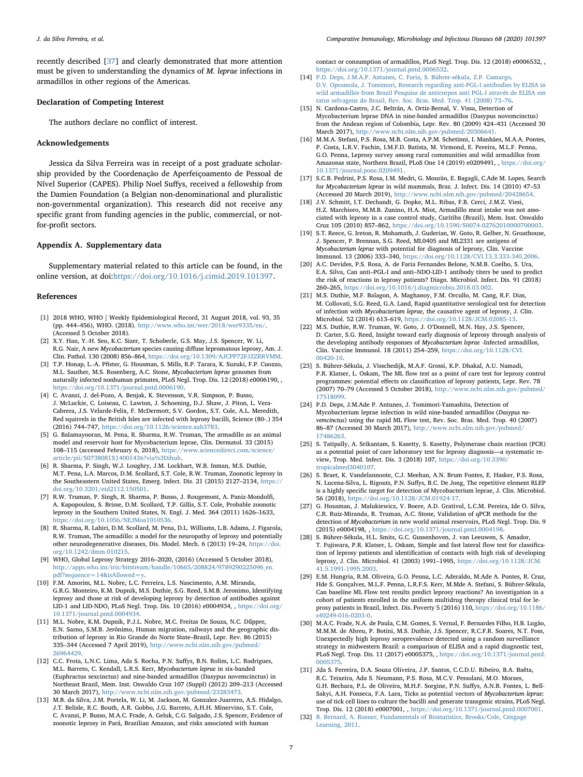J. da Silva Ferreira, et al. *Comparative Immunology, Microbiology and Infectious Diseases 68 (2020) 101397*

recently described [\[37](#page-7-4)] and clearly demonstrated that more attention must be given to understanding the dynamics of M. leprae infections in armadillos in other regions of the Americas.

#### Declaration of Competing Interest

The authors declare no conflict of interest.

## Acknowledgements

Jessica da Silva Ferreira was in receipt of a post graduate scholarship provided by the Coordenação de Aperfeiçoamento de Pessoal de Nível Superior (CAPES). Philip Noel Suffys, received a fellowship from the Damien Foundation (a Belgian non-denominational and pluralistic non-governmental organization). This research did not receive any specific grant from funding agencies in the public, commercial, or notfor-profit sectors.

#### Appendix A. Supplementary data

Supplementary material related to this article can be found, in the online version, at doi:<https://doi.org/10.1016/j.cimid.2019.101397>.

#### References

- <span id="page-6-0"></span>[1] 2018 WHO, WHO | Weekly Epidemiological Record, 31 August 2018, vol. 93, 35 (pp. 444–456), WHO. (2018). <http://www.who.int/wer/2018/wer9335/en/>. (Accessed 5 October 2018).
- <span id="page-6-1"></span>[2] X.Y. Han, Y.-H. Seo, K.C. Sizer, T. Schoberle, G.S. May, J.S. Spencer, W. Li, R.G. Nair, A new Mycobacterium species causing diffuse lepromatous leprosy, Am. J. Clin. Pathol. 130 (2008) 856–864, [https://doi.org/10.1309/AJCPP72FJZZRRVMM.](https://doi.org/10.1309/AJCPP72FJZZRRVMM)
- <span id="page-6-2"></span>[3] T.P. Honap, L.-A. Pfister, G. Housman, S. Mills, R.P. Tarara, K. Suzuki, F.P. Cuozzo, M.L. Sauther, M.S. Rosenberg, A.C. Stone, Mycobacterium leprae genomes from naturally infected nonhuman primates, PLoS Negl. Trop. Dis. 12 (2018) e0006190, , [https://doi.org/10.1371/journal.pntd.0006190.](https://doi.org/10.1371/journal.pntd.0006190)
- [4] C. Avanzi, J. del-Pozo, A. Benjak, K. Stevenson, V.R. Simpson, P. Busso, J. McLuckie, C. Loiseau, C. Lawton, J. Schoening, D.J. Shaw, J. Piton, L. Vera-Cabrera, J.S. Velarde-Felix, F. McDermott, S.V. Gordon, S.T. Cole, A.L. Meredith, Red squirrels in the British Isles are infected with leprosy bacilli, Science (80-.) 354 (2016) 744–747, [https://doi.org/10.1126/science.aah3783.](https://doi.org/10.1126/science.aah3783)
- <span id="page-6-5"></span>[5] G. Balamayooran, M. Pena, R. Sharma, R.W. Truman, The armadillo as an animal model and reservoir host for Mycobacterium leprae, Clin. Dermatol. 33 (2015) 108–115 (accessed February 6, 2018), [https://www.sciencedirect.com/science/](https://www.sciencedirect.com/science/article/pii/S0738081X14001436?via%3Dihub) [article/pii/S0738081X14001436?via%3Dihub.](https://www.sciencedirect.com/science/article/pii/S0738081X14001436?via%3Dihub)
- <span id="page-6-11"></span>[6] R. Sharma, P. Singh, W.J. Loughry, J.M. Lockhart, W.B. Inman, M.S. Duthie, M.T. Pena, L.A. Marcos, D.M. Scollard, S.T. Cole, R.W. Truman, Zoonotic leprosy in the Southeastern United States, Emerg. Infect. Dis. 21 (2015) 2127–2134, [https://](https://doi.org/10.3201/eid2112.150501) [doi.org/10.3201/eid2112.150501.](https://doi.org/10.3201/eid2112.150501)
- <span id="page-6-3"></span>[7] R.W. Truman, P. Singh, R. Sharma, P. Busso, J. Rougemont, A. Paniz-Mondolfi, A. Kapopoulou, S. Brisse, D.M. Scollard, T.P. Gillis, S.T. Cole, Probable zoonotic leprosy in the Southern United States, N. Engl. J. Med. 364 (2011) 1626–1633, [https://doi.org/10.1056/NEJMoa1010536.](https://doi.org/10.1056/NEJMoa1010536)
- <span id="page-6-4"></span>[8] R. Sharma, R. Lahiri, D.M. Scollard, M. Pena, D.L. Williams, L.B. Adams, J. Figarola, R.W. Truman, The armadillo: a model for the neuropathy of leprosy and potentially other neurodegenerative diseases, Dis. Model. Mech. 6 (2013) 19–24, [https://doi.](https://doi.org/10.1242/dmm.010215) [org/10.1242/dmm.010215.](https://doi.org/10.1242/dmm.010215)
- <span id="page-6-6"></span>[9] WHO, Global Leprosy Strategy 2016–2020, (2016) (Accessed 5 October 2018), [http://apps.who.int/iris/bitstream/handle/10665/208824/9789290225096\\_en.](http://apps.who.int/iris/bitstream/handle/10665/208824/9789290225096_en.pdf?sequence=14%26isAllowed=y) [pdf?sequence=14&isAllowed=y.](http://apps.who.int/iris/bitstream/handle/10665/208824/9789290225096_en.pdf?sequence=14%26isAllowed=y)
- <span id="page-6-7"></span>[10] F.M. Amorim, M.L. Nobre, L.C. Ferreira, L.S. Nascimento, A.M. Miranda, G.R.G. Monteiro, K.M. Dupnik, M.S. Duthie, S.G. Reed, S.M.B. Jeronimo, Identifying leprosy and those at risk of developing leprosy by detection of antibodies against LID-1 and LID-NDO, PLoS Negl. Trop. Dis. 10 (2016) e0004934, , [https://doi.org/](https://doi.org/10.1371/journal.pntd.0004934) [10.1371/journal.pntd.0004934.](https://doi.org/10.1371/journal.pntd.0004934)
- <span id="page-6-8"></span>[11] M.L. Nobre, K.M. Dupnik, P.J.L. Nobre, M.C. Freitas De Souza, N.C. Dűppre, E.N. Sarno, S.M.B. Jerŏnimo, Human migration, railways and the geographic distribution of leprosy in Rio Grande do Norte State–Brazil, Lepr. Rev. 86 (2015) 335–344 (Accessed 7 April 2019), [http://www.ncbi.nlm.nih.gov/pubmed/](http://www.ncbi.nlm.nih.gov/pubmed/26964429) [26964429.](http://www.ncbi.nlm.nih.gov/pubmed/26964429)
- <span id="page-6-9"></span>[12] C.C. Frota, L.N.C. Lima, Ada S. Rocha, P.N. Suffys, B.N. Rolim, L.C. Rodrigues, M.L. Barreto, C. Kendall, L.R.S. Kerr, Mycobacterium leprae in six-banded (Euphractus sexcinctus) and nine-banded armadillos (Dasypus novemcinctus) in Northeast Brazil, Mem. Inst. Oswaldo Cruz 107 (Suppl) (2012) 209–213 (Accessed 30 March 2017), <http://www.ncbi.nlm.nih.gov/pubmed/23283473>.
- <span id="page-6-10"></span>[13] M.B. da Silva, J.M. Portela, W. Li, M. Jackson, M. Gonzalez-Juarrero, A.S. Hidalgo, J.T. Belisle, R.C. Bouth, A.R. Gobbo, J.G. Barreto, A.H.H. Minervino, S.T. Cole, C. Avanzi, P. Busso, M.A.C. Frade, A. Geluk, C.G. Salgado, J.S. Spencer, Evidence of zoonotic leprosy in Pará, Brazilian Amazon, and risks associated with human

contact or consumption of armadillos, PLoS Negl. Trop. Dis. 12 (2018) e0006532, , [https://doi.org/10.1371/journal.pntd.0006532.](https://doi.org/10.1371/journal.pntd.0006532)

- <span id="page-6-17"></span>[14] [P.D. Deps, J.M.A.P. Antunes, C. Faria, S. Bührer-sékula, Z.P. Camargo,](http://refhub.elsevier.com/S0147-9571(19)30194-8/sbref0070) [D.V. Opromola, J. Tomimori, Research regarding anti-PGL-I antibodies by ELISA in](http://refhub.elsevier.com/S0147-9571(19)30194-8/sbref0070) [wild armadillos from Brazil Pesquisa de anticorpos anti PGL-I através de ELISA em](http://refhub.elsevier.com/S0147-9571(19)30194-8/sbref0070) [tatus selvagens do Brasil, Rev. Soc. Bras. Med. Trop. 41 \(2008\) 73](http://refhub.elsevier.com/S0147-9571(19)30194-8/sbref0070)–76.
- <span id="page-6-12"></span>[15] N. Cardona-Castro, J.C. Beltrán, A. Ortiz-Bernal, V. Vissa, Detection of Mycobacterium leprae DNA in nine-banded armadillos (Dasypus novemcinctus) from the Andean region of Colombia, Lepr. Rev. 80 (2009) 424–431 (Accessed 30 March 2017), [http://www.ncbi.nlm.nih.gov/pubmed/20306641.](http://www.ncbi.nlm.nih.gov/pubmed/20306641)
- <span id="page-6-13"></span>[16] M.M.A. Stefani, P.S. Rosa, M.B. Costa, A.P.M. Schetinni, I. Manhães, M.A.A. Pontes, P. Costa, L.R.V. Fachin, I.M.F.D. Batista, M. Virmond, E. Pereira, M.L.F. Penna, G.O. Penna, Leprosy survey among rural communities and wild armadillos from Amazonas state, Northern Brazil, PLoS One 14 (2019) e0209491, , [https://doi.org/](https://doi.org/10.1371/journal.pone.0209491) [10.1371/journal.pone.0209491.](https://doi.org/10.1371/journal.pone.0209491)
- <span id="page-6-24"></span>[17] S.C.B. Pedrini, P.S. Rosa, I.M. Medri, G. Mourão, E. Bagagli, C.Ade M. Lopes, Search for Mycobacterium leprae in wild mammals, Braz. J. Infect. Dis. 14 (2010) 47–53 (Accessed 20 March 2019), [http://www.ncbi.nlm.nih.gov/pubmed/20428654.](http://www.ncbi.nlm.nih.gov/pubmed/20428654)
- <span id="page-6-30"></span>[18] J.V. Schmitt, I.T. Dechandt, G. Dopke, M.L. Ribas, F.B. Cerci, J.M.Z. Viesi, H.Z. Marchioro, M.M.B. Zunino, H.A. Miot, Armadillo meat intake was not associated with leprosy in a case control study, Curitiba (Brazil), Mem. Inst. Oswaldo Cruz 105 (2010) 857–862, [https://doi.org/10.1590/S0074-02762010000700003.](https://doi.org/10.1590/S0074-02762010000700003)
- <span id="page-6-14"></span>[19] S.T. Reece, G. Ireton, R. Mohamath, J. Guderian, W. Goto, R. Gelber, N. Groathouse, J. Spencer, P. Brennan, S.G. Reed, ML0405 and ML2331 are antigens of Mycobacterium leprae with potential for diagnosis of leprosy, Clin. Vaccine Immunol. 13 (2006) 333–340, [https://doi.org/10.1128/CVI.13.3.333-340.2006.](https://doi.org/10.1128/CVI.13.3.333-340.2006)
- <span id="page-6-15"></span>[20] A.C. Devides, P.S. Rosa, A. de Faria Fernandes Belone, N.M.B. Coelho, S. Ura, E.A. Silva, Can anti–PGL-I and anti–NDO-LID-1 antibody titers be used to predict the risk of reactions in leprosy patients? Diagn. Microbiol. Infect. Dis. 91 (2018) 260–265, [https://doi.org/10.1016/j.diagmicrobio.2018.03.002.](https://doi.org/10.1016/j.diagmicrobio.2018.03.002)
- <span id="page-6-16"></span>[21] M.S. Duthie, M.F. Balagon, A. Maghanoy, F.M. Orcullo, M. Cang, R.F. Dias, M. Collovati, S.G. Reed, G.A. Land, Rapid quantitative serological test for detection of infection with Mycobacterium leprae, the causative agent of leprosy, J. Clin. Microbiol. 52 (2014) 613–619, [https://doi.org/10.1128/JCM.02085-13.](https://doi.org/10.1128/JCM.02085-13)
- <span id="page-6-18"></span>[22] M.S. Duthie, R.W. Truman, W. Goto, J. O'Donnell, M.N. Hay, J.S. Spencer, D. Carter, S.G. Reed, Insight toward early diagnosis of leprosy through analysis of the developing antibody responses of Mycobacterium leprae -Infected armadillos, Clin. Vaccine Immunol. 18 (2011) 254–259, [https://doi.org/10.1128/CVI.](https://doi.org/10.1128/CVI.00420-10) [00420-10.](https://doi.org/10.1128/CVI.00420-10)
- <span id="page-6-19"></span>[23] S. Bührer-Sékula, J. Visschedijk, M.A.F. Grossi, K.P. Dhakal, A.U. Namadi, P.R. Klatser, L. Oskam, The ML flow test as a point of care test for leprosy control programmes: potential effects on classification of leprosy patients, Lepr. Rev. 78 (2007) 70–79 (Accessed 5 October 2018), [http://www.ncbi.nlm.nih.gov/pubmed/](http://www.ncbi.nlm.nih.gov/pubmed/17518099) [17518099.](http://www.ncbi.nlm.nih.gov/pubmed/17518099)
- <span id="page-6-20"></span>[24] P.D. Deps, J.M.Ade P. Antunes, J. Tomimori-Yamashita, Detection of Mycobacterium leprae infection in wild nine-banded armadillos (Dasypus novemcinctus) using the rapid ML Flow test, Rev. Soc. Bras. Med. Trop. 40 (2007) 86–87 (Accessed 30 March 2017), [http://www.ncbi.nlm.nih.gov/pubmed/](http://www.ncbi.nlm.nih.gov/pubmed/17486263) [17486263.](http://www.ncbi.nlm.nih.gov/pubmed/17486263)
- <span id="page-6-21"></span>[25] S. Tatipally, A. Srikantam, S. Kasetty, S. Kasetty, Polymerase chain reaction (PCR) as a potential point of care laboratory test for leprosy diagnosis—a systematic review, Trop. Med. Infect. Dis. 3 (2018) 107, [https://doi.org/10.3390/](https://doi.org/10.3390/tropicalmed3040107) [tropicalmed3040107.](https://doi.org/10.3390/tropicalmed3040107)
- <span id="page-6-22"></span>[26] S. Braet, K. Vandelannoote, C.J. Meehan, A.N. Brum Fontes, E. Hasker, P.S. Rosa, N. Lucena-Silva, L. Rigouts, P.N. Suffys, B.C. De Jong, The repetitive element RLEP is a highly specific target for detection of Mycobacterium leprae, J. Clin. Microbiol. 56 (2018), [https://doi.org/10.1128/JCM.01924-17.](https://doi.org/10.1128/JCM.01924-17)
- <span id="page-6-23"></span>[27] G. Housman, J. Malukiewicz, V. Boere, A.D. Grativol, L.C.M. Pereira, Ide O. Silva, C.R. Ruiz-Miranda, R. Truman, A.C. Stone, Validation of qPCR methods for the detection of Mycobacterium in new world animal reservoirs, PLoS Negl. Trop. Dis. 9 (2015) e0004198, , [https://doi.org/10.1371/journal.pntd.0004198.](https://doi.org/10.1371/journal.pntd.0004198)
- <span id="page-6-25"></span>[28] S. Bührer-Sékula, H.L. Smits, G.C. Gussenhoven, J. van Leeuwen, S. Amador, T. Fujiwara, P.R. Klatser, L. Oskam, Simple and fast lateral flow test for classification of leprosy patients and identification of contacts with high risk of developing leprosy, J. Clin. Microbiol. 41 (2003) 1991–1995, [https://doi.org/10.1128/JCM.](https://doi.org/10.1128/JCM.41.5.1991-1995.2003) [41.5.1991-1995.2003.](https://doi.org/10.1128/JCM.41.5.1991-1995.2003)
- <span id="page-6-26"></span>[29] E.M. Hungria, R.M. Oliveira, G.O. Penna, L.C. Aderaldo, M.Ade A. Pontes, R. Cruz, Hde S. Gonçalves, M.L.F. Penna, L.R.F.S. Kerr, M.Mde A. Stefani, S. Bührer-Sékula, Can baseline ML Flow test results predict leprosy reactions? An investigation in a cohort of patients enrolled in the uniform multidrug therapy clinical trial for leprosy patients in Brazil, Infect. Dis. Poverty 5 (2016) 110, [https://doi.org/10.1186/](https://doi.org/10.1186/s40249-016-0203-0) [s40249-016-0203-0.](https://doi.org/10.1186/s40249-016-0203-0)
- <span id="page-6-27"></span>[30] M.A.C. Frade, N.A. de Paula, C.M. Gomes, S. Vernal, F. Bernardes Filho, H.B. Lugão, M.M.M. de Abreu, P. Botini, M.S. Duthie, J.S. Spencer, R.C.F.R. Soares, N.T. Foss, Unexpectedly high leprosy seroprevalence detected using a random surveillance strategy in midwestern Brazil: a comparison of ELISA and a rapid diagnostic test, PLoS Negl. Trop. Dis. 11 (2017) e0005375, , [https://doi.org/10.1371/journal.pntd.](https://doi.org/10.1371/journal.pntd.0005375) 000537
- <span id="page-6-28"></span>[31] Jda S. Ferreira, D.A. Souza Oliveira, J.P. Santos, C.C.D.U. Ribeiro, B.A. Baêta, R.C. Teixeira, Ada S. Neumann, P.S. Rosa, M.C.V. Pessolani, M.O. Moraes, G.H. Bechara, P.L. de Oliveira, M.H.F. Sorgine, P.N. Suffys, A.N.B. Fontes, L. Bell-Sakyi, A.H. Fonseca, F.A. Lara, Ticks as potential vectors of Mycobacterium leprae: use of tick cell lines to culture the bacilli and generate transgenic strains, PLoS Negl. Trop. Dis. 12 (2018) e0007001, , [https://doi.org/10.1371/journal.pntd.0007001.](https://doi.org/10.1371/journal.pntd.0007001)
- <span id="page-6-29"></span>[32] [B. Bernard, A. Rosner, Fundamentals of Biostatistics, Brooks/Cole, Cengage](http://refhub.elsevier.com/S0147-9571(19)30194-8/sbref0160) [Learning, 2011.](http://refhub.elsevier.com/S0147-9571(19)30194-8/sbref0160)